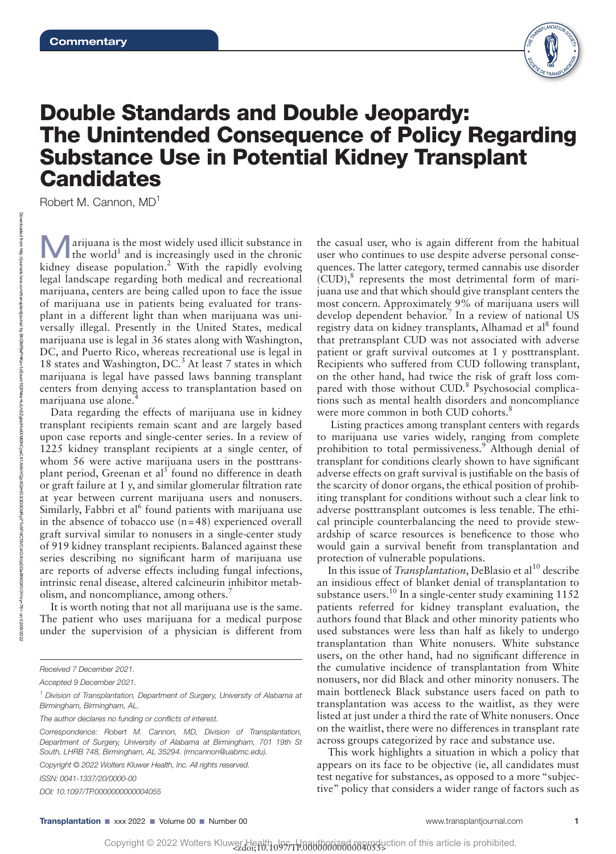

## Double Standards and Double Jeopardy: The Unintended Consequence of Policy Regarding Substance Use in Potential Kidney Transplant **Candidates**

Robert M. Cannon, MD<sup>1</sup>

**M** arijuana is the most widely used illicit substance in the world<sup>1</sup> and is increasingly used in the chronic kidney disease population.<sup>2</sup> With the rapidly evolving legal landscape regarding both medical and recreational marijuana, centers are being called upon to face the issue of marijuana use in patients being evaluated for transplant in a different light than when marijuana was universally illegal. Presently in the United States, medical marijuana use is legal in 36 states along with Washington, DC, and Puerto Rico, whereas recreational use is legal in 18 states and Washington, DC.<sup>3</sup> At least 7 states in which marijuana is legal have passed laws banning transplant centers from denying access to transplantation based on marijuana use alone.<sup>4</sup>

Data regarding the effects of marijuana use in kidney transplant recipients remain scant and are largely based upon case reports and single-center series. In a review of 1225 kidney transplant recipients at a single center, of whom 56 were active marijuana users in the posttransplant period, Greenan et al<sup>5</sup> found no difference in death or graft failure at 1 y, and similar glomerular filtration rate at year between current marijuana users and nonusers. Similarly, Fabbri et al<sup>6</sup> found patients with marijuana use in the absence of tobacco use  $(n=48)$  experienced overall graft survival similar to nonusers in a single-center study of 919 kidney transplant recipients. Balanced against these series describing no significant harm of marijuana use are reports of adverse effects including fungal infections, intrinsic renal disease, altered calcineurin inhibitor metabolism, and noncompliance, among others.<sup>7</sup>

It is worth noting that not all marijuana use is the same. The patient who uses marijuana for a medical purpose under the supervision of a physician is different from

*Accepted 9 December 2021.*

*The author declares no funding or conflicts of interest.*

*Copyright © 2022 Wolters Kluwer Health, Inc. All rights reserved.* 

*ISSN: 0041-1337/20/0000-00*

*DOI: 10.1097/TP.0000000000004055*

Downloaded from http://journals.lww.com/transplantjournal হ BhDMf5ePHKav1zEoum1tQfXAOAXAOdRXXWiDFD3i3D0OdXXXXXDi0hCy1XMXD3D0OdRXD3OdRXD3OdXAOAXAOdDA8KXQXXD3HX+1 on 02/09/2022

the casual user, who is again different from the habitual user who continues to use despite adverse personal consequences. The latter category, termed cannabis use disorder (CUD),<sup>8</sup> represents the most detrimental form of marijuana use and that which should give transplant centers the most concern. Approximately 9% of marijuana users will develop dependent behavior.<sup>7</sup> In a review of national US registry data on kidney transplants, Alhamad et al<sup>8</sup> found that pretransplant CUD was not associated with adverse patient or graft survival outcomes at 1 y posttransplant. Recipients who suffered from CUD following transplant, on the other hand, had twice the risk of graft loss compared with those without CUD.<sup>8</sup> Psychosocial complications such as mental health disorders and noncompliance were more common in both CUD cohorts.<sup>8</sup>

 Listing practices among transplant centers with regards to marijuana use varies widely, ranging from complete prohibition to total permissiveness.<sup>9</sup> Although denial of transplant for conditions clearly shown to have significant adverse effects on graft survival is justifiable on the basis of the scarcity of donor organs, the ethical position of prohibiting transplant for conditions without such a clear link to adverse posttransplant outcomes is less tenable. The ethical principle counterbalancing the need to provide stewardship of scarce resources is beneficence to those who would gain a survival benefit from transplantation and protection of vulnerable populations.

In this issue of *Transplantation*, DeBlasio et al<sup>10</sup> describe an insidious effect of blanket denial of transplantation to substance users.<sup>10</sup> In a single-center study examining 1152 patients referred for kidney transplant evaluation, the authors found that Black and other minority patients who used substances were less than half as likely to undergo transplantation than White nonusers. White substance users, on the other hand, had no significant difference in the cumulative incidence of transplantation from White nonusers, nor did Black and other minority nonusers. The main bottleneck Black substance users faced on path to transplantation was access to the waitlist, as they were listed at just under a third the rate of White nonusers. Once on the waitlist, there were no differences in transplant rate across groups categorized by race and substance use.

This work highlights a situation in which a policy that appears on its face to be objective (ie, all candidates must test negative for substances, as opposed to a more "subjective" policy that considers a wider range of factors such as

*Received 7 December 2021.*

*<sup>1</sup> Division of Transplantation, Department of Surgery, University of Alabama at Birmingham, Birmingham, AL.*

*Correspondence: Robert M. Cannon, MD, Division of Transplantation, Department of Surgery, University of Alabama at Birmingham, 701 19th St South, LHRB 748, Birmingham, AL 35294. ([rmcannon@uabmc.edu\)](mailto:rmcannon@uabmc.edu).*